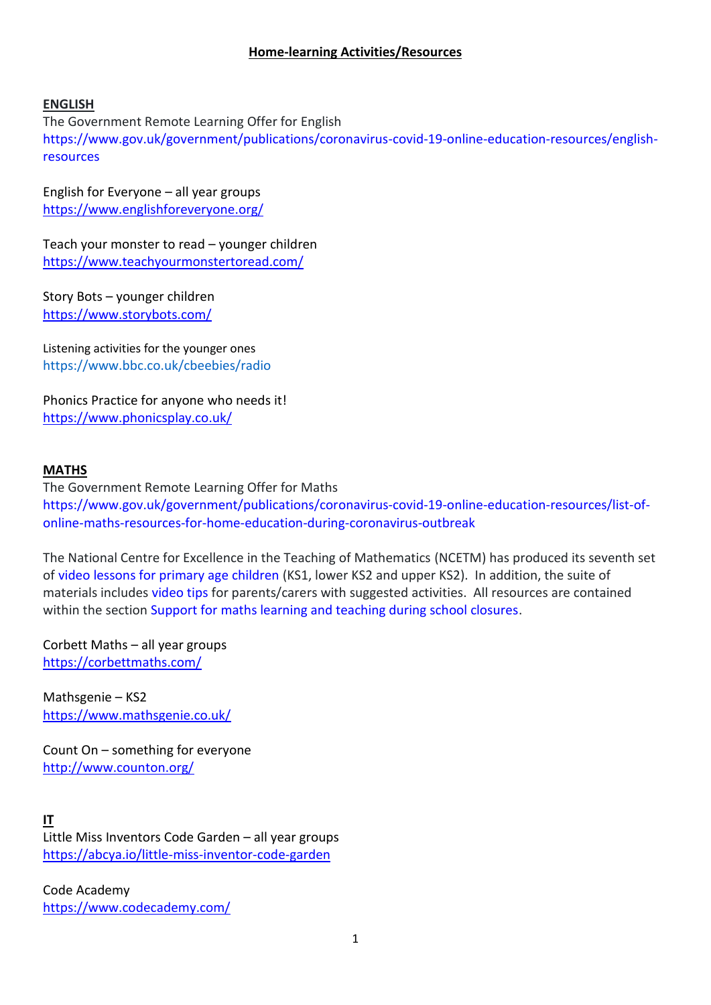#### **Home-learning Activities/Resources**

#### **ENGLISH**

The Government Remote Learning Offer for English [https://www.gov.uk/government/publications/coronavirus-covid-19-online-education-resources/english](https://www.gov.uk/government/publications/coronavirus-covid-19-online-education-resources/english-resources)[resources](https://www.gov.uk/government/publications/coronavirus-covid-19-online-education-resources/english-resources)

English for Everyone – all year groups <https://www.englishforeveryone.org/>

Teach your monster to read – younger children <https://www.teachyourmonstertoread.com/>

Story Bots – younger children <https://www.storybots.com/>

Listening activities for the younger ones <https://www.bbc.co.uk/cbeebies/radio>

Phonics Practice for anyone who needs it! <https://www.phonicsplay.co.uk/>

#### **MATHS**

The Government Remote Learning Offer for Maths [https://www.gov.uk/government/publications/coronavirus-covid-19-online-education-resources/list-of](https://www.gov.uk/government/publications/coronavirus-covid-19-online-education-resources/list-of-online-maths-resources-for-home-education-during-coronavirus-outbreak)[online-maths-resources-for-home-education-during-coronavirus-outbreak](https://www.gov.uk/government/publications/coronavirus-covid-19-online-education-resources/list-of-online-maths-resources-for-home-education-during-coronavirus-outbreak)

The National Centre for Excellence in the Teaching of Mathematics (NCETM) has produced its seventh set o[f video lessons for primary age children](https://www.ncetm.org.uk/resources/54454) (KS1, lower KS2 and upper KS2). In addition, the suite of materials includes [video tips](https://www.ncetm.org.uk/resources/54492) for parents/carers with suggested activities. All resources are contained within the section [Support for maths learning and teaching during school closures.](https://www.ncetm.org.uk/resources/54430)

Corbett Maths – all year groups <https://corbettmaths.com/>

Mathsgenie – KS2 <https://www.mathsgenie.co.uk/>

Count On – something for everyone <http://www.counton.org/>

**IT**

Little Miss Inventors Code Garden – all year groups <https://abcya.io/little-miss-inventor-code-garden>

Code Academy <https://www.codecademy.com/>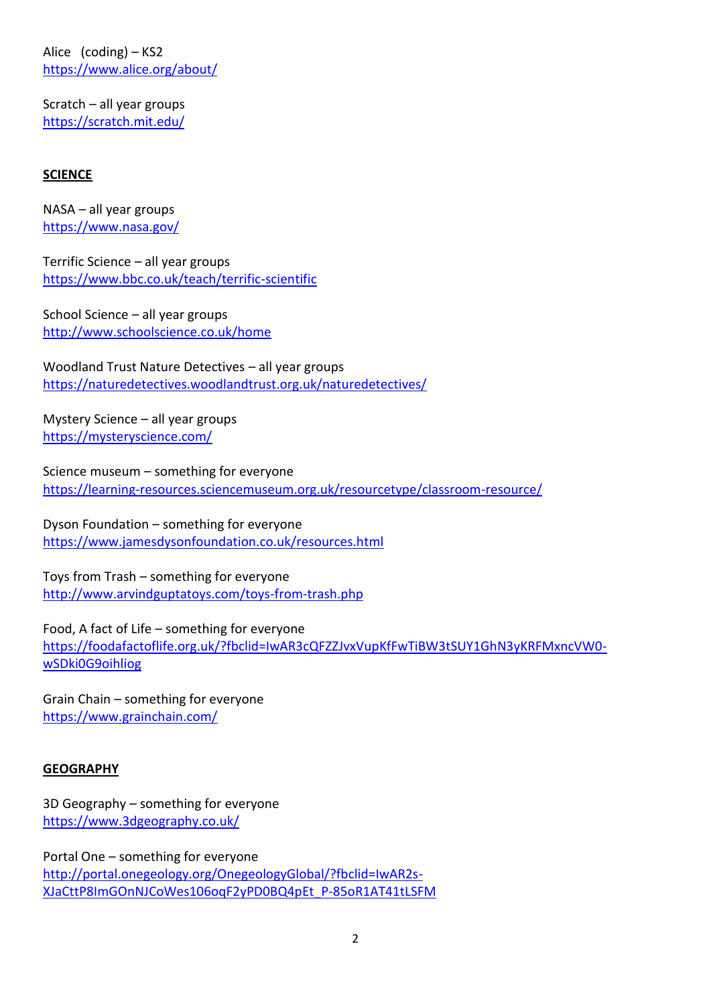Alice (coding) – KS2 <https://www.alice.org/about/>

Scratch – all year groups <https://scratch.mit.edu/>

## **SCIENCE**

NASA – all year groups <https://www.nasa.gov/>

Terrific Science – all year groups <https://www.bbc.co.uk/teach/terrific-scientific>

School Science – all year groups <http://www.schoolscience.co.uk/home>

Woodland Trust Nature Detectives – all year groups <https://naturedetectives.woodlandtrust.org.uk/naturedetectives/>

Mystery Science – all year groups <https://mysteryscience.com/>

Science museum – something for everyone <https://learning-resources.sciencemuseum.org.uk/resourcetype/classroom-resource/>

Dyson Foundation – something for everyone <https://www.jamesdysonfoundation.co.uk/resources.html>

Toys from Trash – something for everyone <http://www.arvindguptatoys.com/toys-from-trash.php>

Food, A fact of Life – something for everyone [https://foodafactoflife.org.uk/?fbclid=IwAR3cQFZZJvxVupKfFwTiBW3tSUY1GhN3yKRFMxncVW0](https://foodafactoflife.org.uk/?fbclid=IwAR3cQFZZJvxVupKfFwTiBW3tSUY1GhN3yKRFMxncVW0-wSDki0G9oihliog) [wSDki0G9oihliog](https://foodafactoflife.org.uk/?fbclid=IwAR3cQFZZJvxVupKfFwTiBW3tSUY1GhN3yKRFMxncVW0-wSDki0G9oihliog)

Grain Chain – something for everyone <https://www.grainchain.com/>

#### **GEOGRAPHY**

3D Geography – something for everyone <https://www.3dgeography.co.uk/>

Portal One – something for everyone [http://portal.onegeology.org/OnegeologyGlobal/?fbclid=IwAR2s-](http://portal.onegeology.org/OnegeologyGlobal/?fbclid=IwAR2s-XJaCttP8ImGOnNJCoWes106oqF2yPD0BQ4pEt_P-85oR1AT41tLSFM)[XJaCttP8ImGOnNJCoWes106oqF2yPD0BQ4pEt\\_P-85oR1AT41tLSFM](http://portal.onegeology.org/OnegeologyGlobal/?fbclid=IwAR2s-XJaCttP8ImGOnNJCoWes106oqF2yPD0BQ4pEt_P-85oR1AT41tLSFM)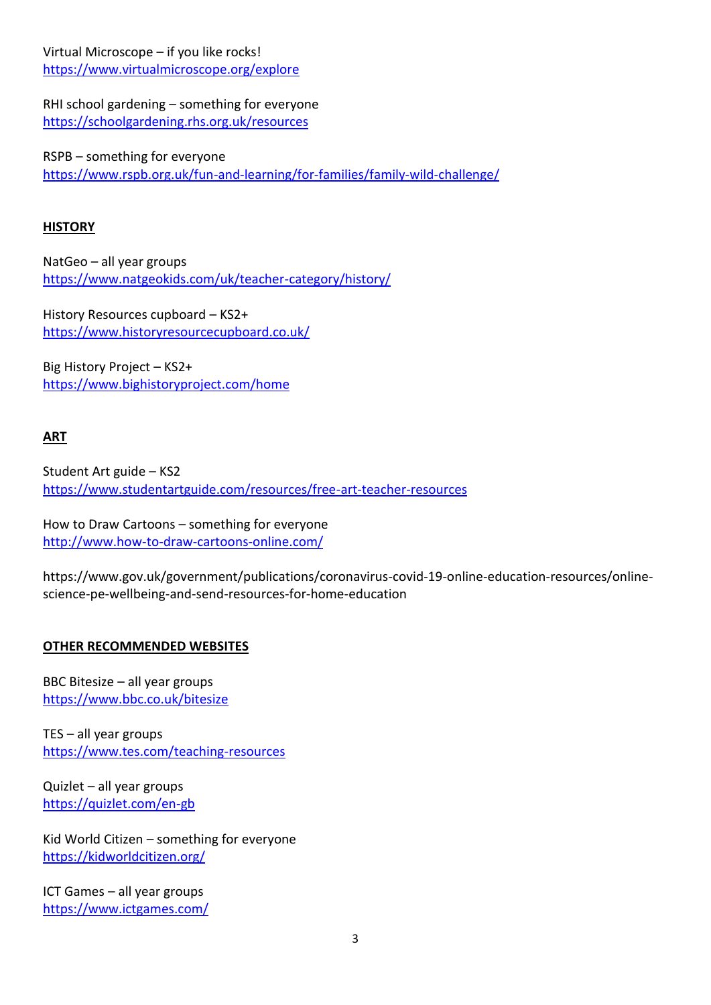Virtual Microscope – if you like rocks! <https://www.virtualmicroscope.org/explore>

RHI school gardening – something for everyone <https://schoolgardening.rhs.org.uk/resources>

RSPB – something for everyone <https://www.rspb.org.uk/fun-and-learning/for-families/family-wild-challenge/>

### **HISTORY**

NatGeo – all year groups <https://www.natgeokids.com/uk/teacher-category/history/>

History Resources cupboard – KS2+ <https://www.historyresourcecupboard.co.uk/>

Big History Project – KS2+ <https://www.bighistoryproject.com/home>

# **ART**

Student Art guide – KS2 <https://www.studentartguide.com/resources/free-art-teacher-resources>

How to Draw Cartoons – something for everyone <http://www.how-to-draw-cartoons-online.com/>

https://www.gov.uk/government/publications/coronavirus-covid-19-online-education-resources/onlinescience-pe-wellbeing-and-send-resources-for-home-education

## **OTHER RECOMMENDED WEBSITES**

BBC Bitesize – all year groups <https://www.bbc.co.uk/bitesize>

TES – all year groups <https://www.tes.com/teaching-resources>

Quizlet – all year groups <https://quizlet.com/en-gb>

Kid World Citizen – something for everyone <https://kidworldcitizen.org/>

ICT Games – all year groups https://www.ictgames.com/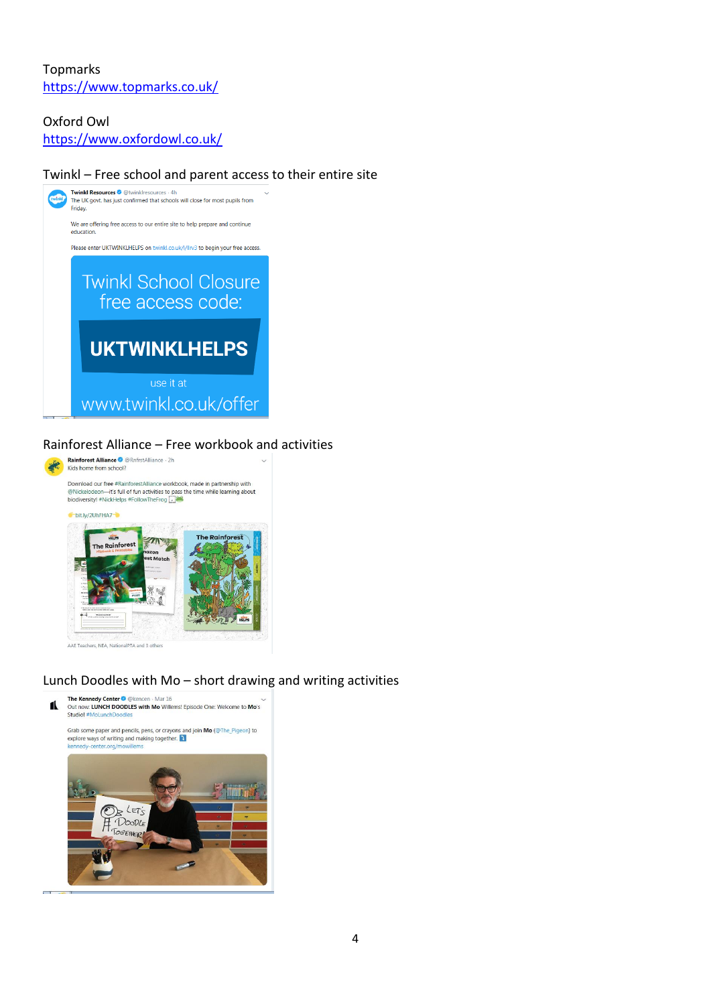# Topmarks <https://www.topmarks.co.uk/>

### Oxford Owl

<https://www.oxfordowl.co.uk/>

## Twinkl – Free school and parent access to their entire site



#### Rainforest Alliance – Free workbook and activities



#### Lunch Doodles with Mo – short drawing and writing activities

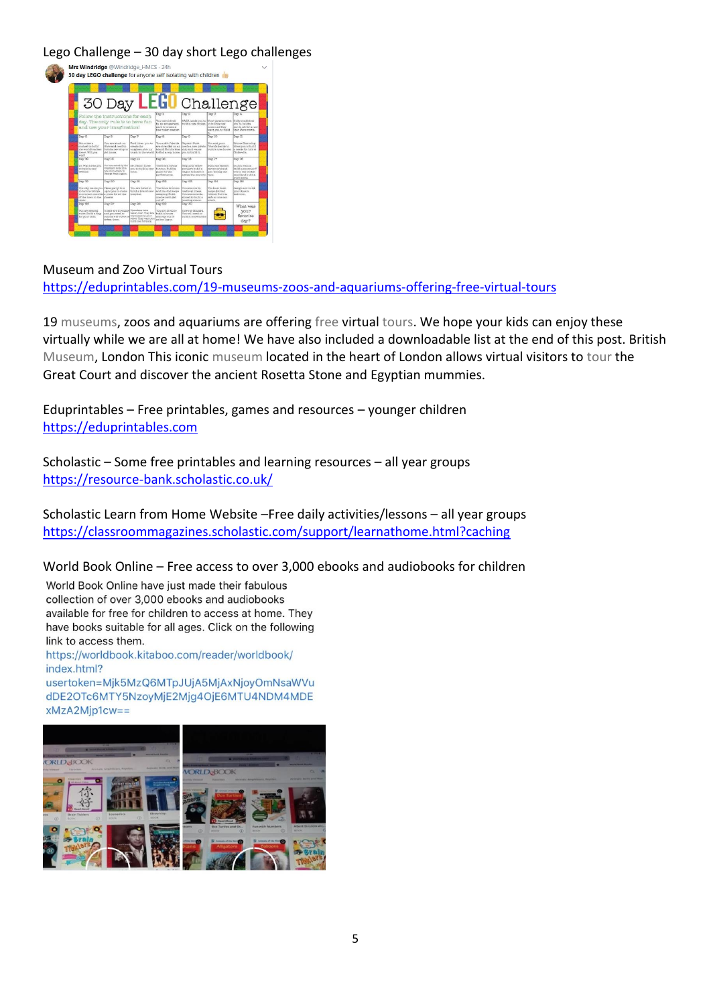Lego Challenge – 30 day short Lego challenges

|                                                                                                                                          |                                                                                                   |                                                                                            | 30 Day LEGO Challenge                                                                                     |                                                                                                    |                                                                                                                                    |                                                                                                       |
|------------------------------------------------------------------------------------------------------------------------------------------|---------------------------------------------------------------------------------------------------|--------------------------------------------------------------------------------------------|-----------------------------------------------------------------------------------------------------------|----------------------------------------------------------------------------------------------------|------------------------------------------------------------------------------------------------------------------------------------|-------------------------------------------------------------------------------------------------------|
|                                                                                                                                          | Follow the instructions for each                                                                  |                                                                                            | Day 1                                                                                                     | Day 2                                                                                              | Day 3                                                                                                                              | Depr 4                                                                                                |
|                                                                                                                                          | day. The only rule is to have fun<br>and use your imagination!                                    |                                                                                            | You were hired<br>to an amissioniana.<br>Grichi to crysta a<br>time roller ocaaser.                       | butle a runs rospect.                                                                              | NAEA peeds you to Trour parence want. Hollywood hires:<br>no build a new<br><b><i>SECRETARY CLYPPER</i></b><br>want you to trulld. | you to build a<br>recepts and flat a runs<br>Star Ware monte.                                         |
| Depr &                                                                                                                                   | Day 8                                                                                             | Dev 7                                                                                      | Day 8                                                                                                     | DAV <sub>R</sub>                                                                                   | Day 10                                                                                                                             | Der 11                                                                                                |
| You enter a<br>content to butle<br>the world's tailest.<br>Sowiet, M13 Voia<br>winth                                                     | You sew struck on.<br>Margand need to<br>butid a new able to<br>Ped Incente.                      | Ford hires you to<br>cryeste the<br>soughwes plain up<br>trunk in the world.               | You and 4 frontde.<br>tabarut. Fortid a house labors and wantle.<br>to find a very home. Two to build it. | Cerchado Hook<br>are stranded on an ineste a new pirate                                            | You and your<br>l'Internite decide So<br>build a tree house.                                                                       | Prince Charming<br>hires you so build.<br>a neetle five liter Ar<br>Condereion.                       |
| Dery 121                                                                                                                                 | Day 13                                                                                            | Dey 14                                                                                     | Day 10                                                                                                    | Day 18                                                                                             | Day 17                                                                                                                             | Day 16                                                                                                |
| Dr. Who haves you.<br>to build a new<br><b>TARDE</b>                                                                                     | You are asked by the<br>Penaldons to build a<br>or announces war<br>Overgia Maustraghers          | Mr. Ritters hires.<br>you to build a new.<br>Yone.                                         | There is a circus<br>to sovo. Build a<br>plans for the<br>performance.                                    | Help your fallow<br>proclames build is<br>wagon to make it.<br>seriou the country, Inson.          | <b>Dutid the fasteet</b><br>car around and<br>ions the big car-                                                                    | Do you wanna.<br>build a appennent?<br>Got to this winter<br>mood and build a<br><b>BEGIN AGRICAL</b> |
| Decr <sub>39</sub>                                                                                                                       | Day 90                                                                                            | Day 21                                                                                     | Day 655                                                                                                   | Day 83                                                                                             | Day 84                                                                                                                             | Derr 98                                                                                               |
| The etty wants you Pizza partyl it is<br>to build a broten<br>to connect one side is place for all the<br>of the town to the<br>citizier | up to you to make<br>Integeta                                                                     | <b>You are hired to</b><br>build a trand now<br>tions(tal)                                 | The fance is broke<br>and the doc lesens.<br>espezione, Build.<br>too Zoan at ent<br>nut of               | You are now in<br>medieval times.<br>You are commis-<br>abonat so hutbh a<br><b>KNARZO E APARA</b> | The Innel benk<br>sacco metting<br><b>Wilder Build a</b><br>as fa no one can<br>one de                                             | Denign work husby<br>vour dream<br>Tuytevyyyy.                                                        |
| Day 26                                                                                                                                   | Day 87                                                                                            | Dev 525                                                                                    | Day Sig                                                                                                   | Day 30                                                                                             |                                                                                                                                    | What was                                                                                              |
| Yice) www.ekiencert<br>ruler. Build a fiast<br>for your land.                                                                            | Alteria are trivacting The altera have<br>and you need to<br>build a war robot to<br>defeat them. | taken over. They are<br>treatment by stair-<br>robot. Thay want you<br>build one for them. | You are hired to.<br>build a house<br>entirely out of<br>vellow Lados.                                    | Thomp is bibroard.<br>You will need to<br>build a snowmobile                                       |                                                                                                                                    | your<br>favorite<br>day?                                                                              |

Museum and Zoo Virtual Tours <https://eduprintables.com/19-museums-zoos-and-aquariums-offering-free-virtual-tours>

19 museums, zoos and aquariums are offering free virtual tours. We hope your kids can enjoy these virtually while we are all at home! We have also included a downloadable list at the end of this post. British Museum, London This iconic museum located in the heart of London allows virtual visitors to tour the Great Court and discover the ancient Rosetta Stone and Egyptian mummies.

Eduprintables – Free printables, games and resources – younger children [https://eduprintables.com](https://eduprintables.com/)

Scholastic – Some free printables and learning resources – all year groups <https://resource-bank.scholastic.co.uk/>

Scholastic Learn from Home Website –Free daily activities/lessons – all year groups <https://classroommagazines.scholastic.com/support/learnathome.html?caching>

## World Book Online – Free access to over 3,000 ebooks and audiobooks for children

World Book Online have just made their fabulous collection of over 3,000 ebooks and audiobooks available for free for children to access at home. They have books suitable for all ages. Click on the following link to access them.

https://worldbook.kitaboo.com/reader/worldbook/ index.html?

usertoken=Mjk5MzQ6MTpJUjA5MjAxNjoyOmNsaWVu dDE2OTc6MTY5NzoyMjE2Mjg4OjE6MTU4NDM4MDE xMzA2Mjp1cw==